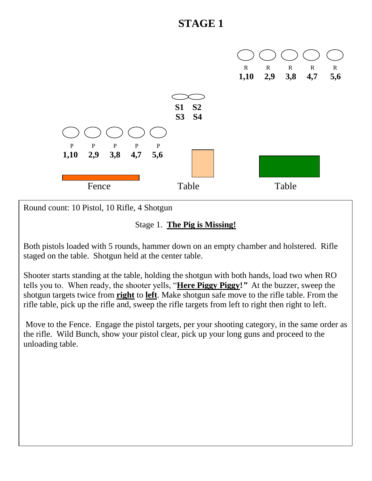

Round count: 10 Pistol, 10 Rifle, 4 Shotgun

#### Stage 1. **The Pig is Missing!**

Both pistols loaded with 5 rounds, hammer down on an empty chamber and holstered. Rifle staged on the table. Shotgun held at the center table.

Shooter starts standing at the table, holding the shotgun with both hands, load two when RO tells you to. When ready, the shooter yells, "**Here Piggy Piggy!***"* At the buzzer, sweep the shotgun targets twice from **right** to **left**. Make shotgun safe move to the rifle table. From the rifle table, pick up the rifle and, sweep the rifle targets from left to right then right to left.

Move to the Fence. Engage the pistol targets, per your shooting category, in the same order as the rifle. Wild Bunch, show your pistol clear, pick up your long guns and proceed to the unloading table.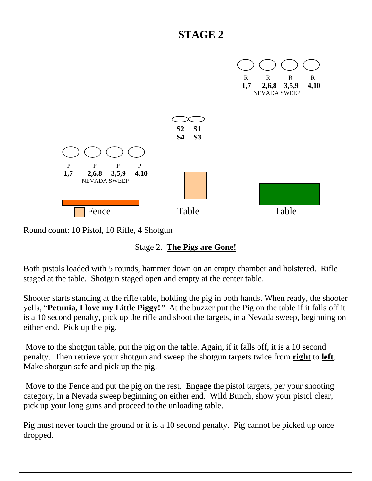

Round count: 10 Pistol, 10 Rifle, 4 Shotgun

#### Stage 2. **The Pigs are Gone!**

Both pistols loaded with 5 rounds, hammer down on an empty chamber and holstered. Rifle staged at the table. Shotgun staged open and empty at the center table.

Shooter starts standing at the rifle table, holding the pig in both hands. When ready, the shooter yells, "**Petunia, I love my Little Piggy!***"* At the buzzer put the Pig on the table if it falls off it is a 10 second penalty, pick up the rifle and shoot the targets, in a Nevada sweep, beginning on either end. Pick up the pig.

Move to the shotgun table, put the pig on the table. Again, if it falls off, it is a 10 second penalty. Then retrieve your shotgun and sweep the shotgun targets twice from **right** to **left**. Make shotgun safe and pick up the pig.

Move to the Fence and put the pig on the rest. Engage the pistol targets, per your shooting category, in a Nevada sweep beginning on either end. Wild Bunch, show your pistol clear, pick up your long guns and proceed to the unloading table.

Pig must never touch the ground or it is a 10 second penalty. Pig cannot be picked up once dropped.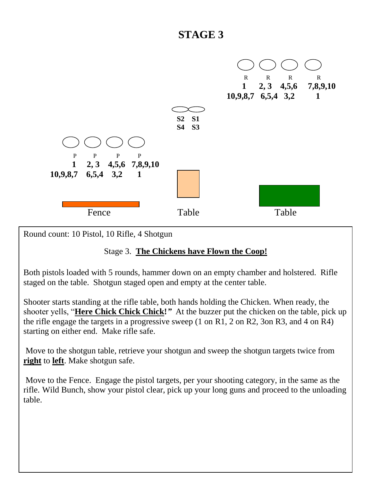

Round count: 10 Pistol, 10 Rifle, 4 Shotgun

### Stage 3. **The Chickens have Flown the Coop!**

Both pistols loaded with 5 rounds, hammer down on an empty chamber and holstered. Rifle staged on the table. Shotgun staged open and empty at the center table.

Shooter starts standing at the rifle table, both hands holding the Chicken. When ready, the shooter yells, "**Here Chick Chick Chick!***"* At the buzzer put the chicken on the table, pick up the rifle engage the targets in a progressive sweep (1 on R1, 2 on R2, 3on R3, and 4 on R4) starting on either end. Make rifle safe.

Move to the shotgun table, retrieve your shotgun and sweep the shotgun targets twice from **right** to **left**. Make shotgun safe.

Move to the Fence. Engage the pistol targets, per your shooting category, in the same as the rifle. Wild Bunch, show your pistol clear, pick up your long guns and proceed to the unloading table.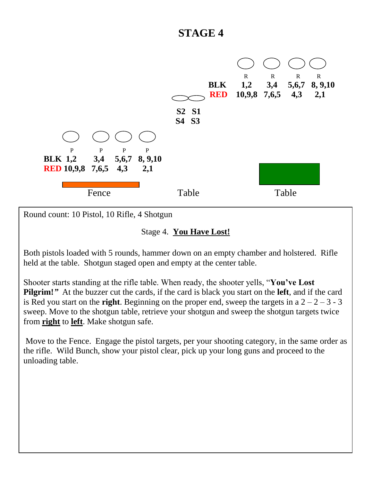

Round count: 10 Pistol, 10 Rifle, 4 Shotgun

#### Stage 4. **You Have Lost!**

Both pistols loaded with 5 rounds, hammer down on an empty chamber and holstered. Rifle held at the table. Shotgun staged open and empty at the center table.

Shooter starts standing at the rifle table. When ready, the shooter yells, "**You've Lost Pilgrim!***"* At the buzzer cut the cards, if the card is black you start on the **left**, and if the card is Red you start on the **right**. Beginning on the proper end, sweep the targets in a  $2 - 2 - 3 - 3$ sweep. Move to the shotgun table, retrieve your shotgun and sweep the shotgun targets twice from **right** to **left**. Make shotgun safe.

Move to the Fence. Engage the pistol targets, per your shooting category, in the same order as the rifle. Wild Bunch, show your pistol clear, pick up your long guns and proceed to the unloading table.